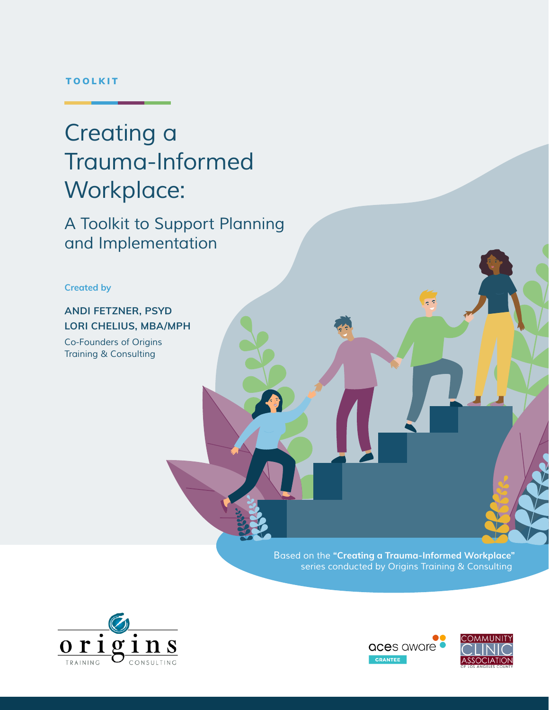#### TOOLKIT

# *Creating a Trauma-Informed Workplace:*

*A Toolkit to Support Planning and Implementation*

**Created by**

### **ANDI FETZNER, PSYD LORI CHELIUS, MBA/MPH**

*Co-Founders of Origins Training & Consulting*

> *Based on the* **"Creating a Trauma-Informed Workplace"** *series conducted by Origins Training & Consulting*





 $\sqrt{2}$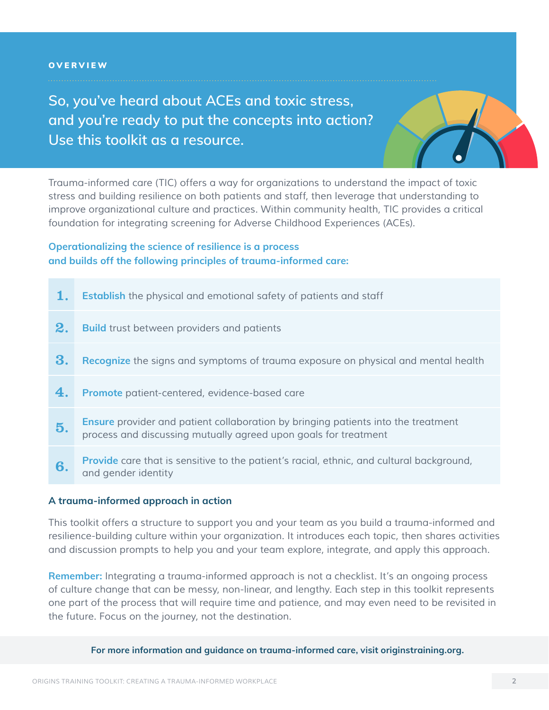#### **OVERVIEW**

**So, you've heard about ACEs and toxic stress, and you're ready to put the concepts into action? Use this toolkit as a resource.** 



*Trauma-informed care (TIC) offers a way for organizations to understand the impact of toxic stress and building resilience on both patients and staff, then leverage that understanding to improve organizational culture and practices. Within community health, TIC provides a critical foundation for integrating screening for Adverse Childhood Experiences (ACEs).*

### **Operationalizing the science of resilience is a process and builds off the following principles of trauma-informed care:**

|                | <b>Establish</b> the physical and emotional safety of patients and staff                                                                                    |  |
|----------------|-------------------------------------------------------------------------------------------------------------------------------------------------------------|--|
| 2 <sub>o</sub> | <b>Build</b> trust between providers and patients                                                                                                           |  |
| 3.             | Recognize the signs and symptoms of trauma exposure on physical and mental health                                                                           |  |
| 4.             | Promote patient-centered, evidence-based care                                                                                                               |  |
| 5.             | <b>Ensure</b> provider and patient collaboration by bringing patients into the treatment<br>process and discussing mutually agreed upon goals for treatment |  |
| 6.             | <b>Provide</b> care that is sensitive to the patient's racial, ethnic, and cultural background,<br>and gender identity                                      |  |

#### **A trauma-informed approach in action**

*This toolkit offers a structure to support you and your team as you build a trauma-informed and resilience-building culture within your organization. It introduces each topic, then shares activities and discussion prompts to help you and your team explore, integrate, and apply this approach.*

**Remember:** *Integrating a trauma-informed approach is not a checklist. It's an ongoing process of culture change that can be messy, non-linear, and lengthy. Each step in this toolkit represents one part of the process that will require time and patience, and may even need to be revisited in the future. Focus on the journey, not the destination.*

**For more information and guidance on trauma-informed care, visit originstraining.org.**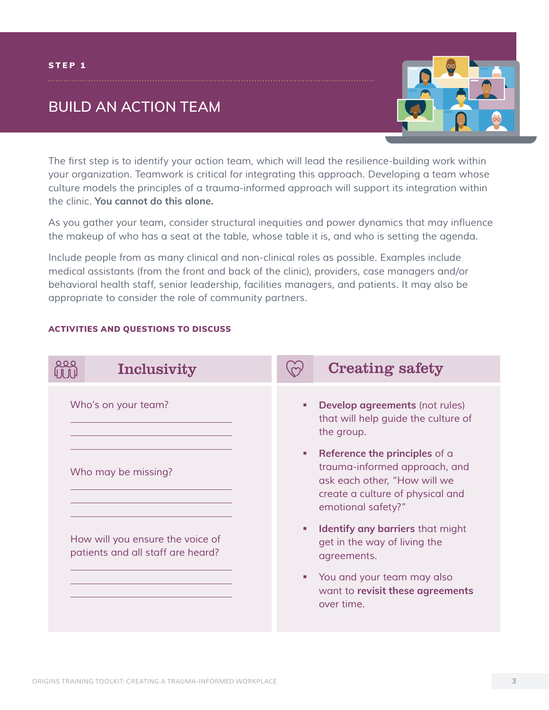### **BUILD AN ACTION TEAM**



The first step is to identify your action team, which will lead the resilience-building work within *your organization. Teamwork is critical for integrating this approach. Developing a team whose culture models the principles of a trauma-informed approach will support its integration within the clinic.* **You cannot do this alone.** 

As you gather your team, consider structural inequities and power dynamics that may influence *the makeup of who has a seat at the table, whose table it is, and who is setting the agenda.* 

*Include people from as many clinical and non-clinical roles as possible. Examples include medical assistants (from the front and back of the clinic), providers, case managers and/or behavioral health staff, senior leadership, facilities managers, and patients. It may also be appropriate to consider the role of community partners.*



#### ACTIVITIES AND QUESTIONS TO DISCUSS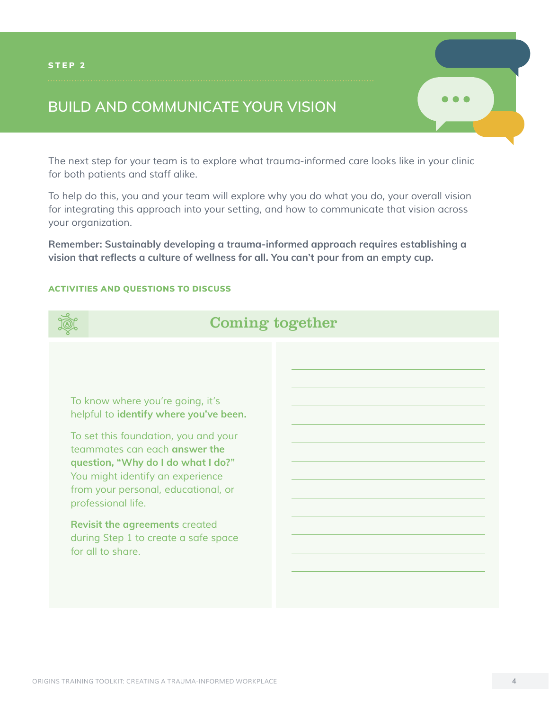## **BUILD AND COMMUNICATE YOUR VISION**

*The next step for your team is to explore what trauma-informed care looks like in your clinic for both patients and staff alike.*

*To help do this, you and your team will explore why you do what you do, your overall vision for integrating this approach into your setting, and how to communicate that vision across your organization.* 

**Remember: Sustainably developing a trauma-informed approach requires establishing a vision that reflects a culture of wellness for all. You can't pour from an empty cup.**

#### ACTIVITIES AND QUESTIONS TO DISCUSS



### Coming together

*To know where you're going, it's helpful to* **identify where you've been.** 

*To set this foundation, you and your teammates can each* **answer the question, "Why do I do what I do?"** *You might identify an experience from your personal, educational, or professional life.* 

**Revisit the agreements** *created during Step 1 to create a safe space for all to share.*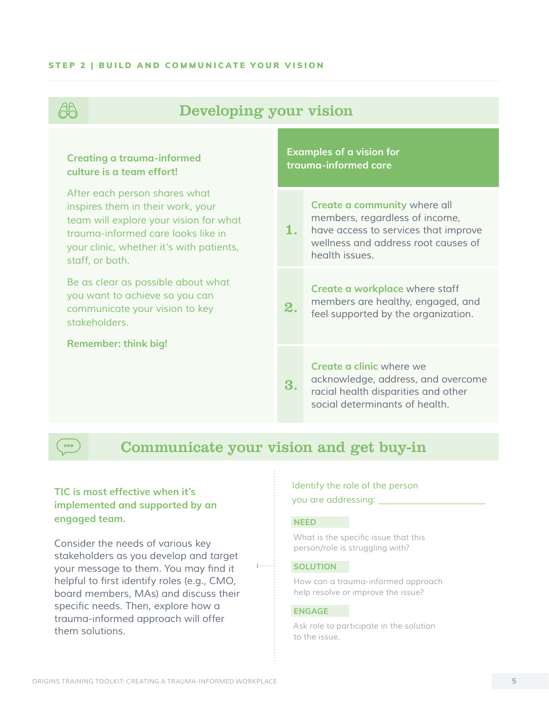#### STEP 2 | BUILD AND COMMUNICATE YOUR VISION



#### **TIC is most effective when it's implemented and supported by an engaged team.**

*Consider the needs of various key stakeholders as you develop and target*  your message to them. You may find it helpful to first identify roles (e.g., CMO, board members, MAs) and discuss their specific needs. Then, explore how a *trauma-informed approach will offer them solutions.*

#### *Identify the role of the person you are addressing:*

#### **NEED**

What is the specific issue that this *person/role is struggling with?*

#### **SOLUTION**

*How can a trauma-informed approach help resolve or improve the issue?*

#### **ENGAGE**

*Ask role to participate in the solution to the issue.*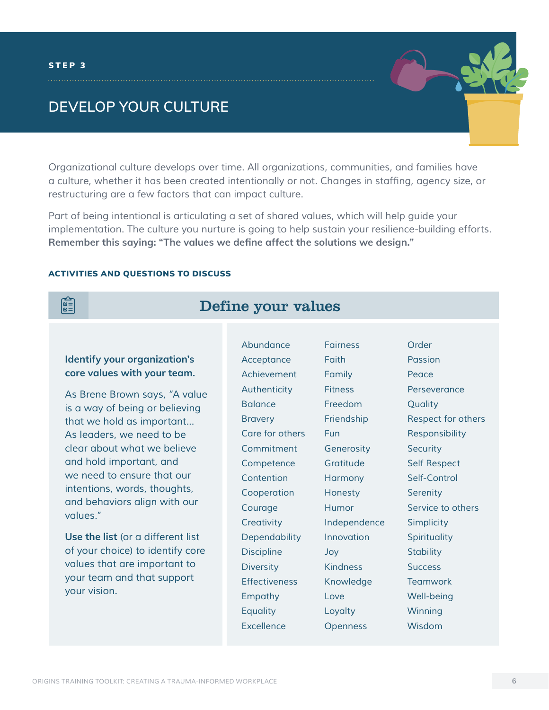### **DEVELOP YOUR CULTURE**

*Organizational culture develops over time. All organizations, communities, and families have*  a culture, whether it has been created intentionally or not. Changes in staffing, agency size, or *restructuring are a few factors that can impact culture.* 

*Part of being intentional is articulating a set of shared values, which will help guide your implementation. The culture you nurture is going to help sustain your resilience-building efforts.*  **Remember this saying: "The values we define affect the solutions we design."**

#### ACTIVITIES AND QUESTIONS TO DISCUSS



### Define your values

#### **Identify your organization's core values with your team.**

*As Brene Brown says, "A value is a way of being or believing that we hold as important... As leaders, we need to be clear about what we believe and hold important, and we need to ensure that our intentions, words, thoughts, and behaviors align with our values."* 

**Use the list** *(or a different list of your choice) to identify core values that are important to your team and that support your vision.*

*Abundance Acceptance Achievement Authenticity Balance Bravery Care for others Commitment Competence Contention Cooperation Courage Creativity Dependability Discipline Diversity Effectiveness Empathy Equality Excellence Fairness Faith Family Fitness Freedom Friendship Fun Generosity Gratitude Harmony Honesty Humor Innovation Joy Kindness Knowledge Love Loyalty Openness*

*Independence*

*Order Passion Peace Perseverance Quality Respect for others Responsibility Security Self Respect Self-Control Serenity Service to others Simplicity Spirituality Stability Success Teamwork Well-being Winning Wisdom*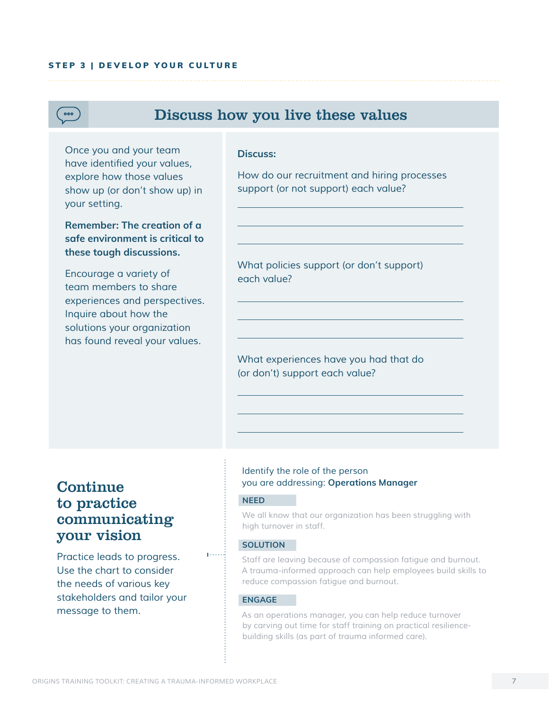#### STEP 3 | DEVELOP YOUR CULTURE



### Discuss how you live these values

*Once you and your team*  have identified your values, *explore how those values show up (or don't show up) in your setting.* 

**Remember: The creation of a safe environment is critical to these tough discussions.** 

*Encourage a variety of team members to share experiences and perspectives. Inquire about how the solutions your organization has found reveal your values.*

#### **Discuss:**

*How do our recruitment and hiring processes support (or not support) each value?* 

*What policies support (or don't support) each value?*

*What experiences have you had that do (or don't) support each value?*

### **Continue** to practice communicating your vision

*Practice leads to progress. Use the chart to consider the needs of various key stakeholders and tailor your message to them.* 

#### *Identify the role of the person you are addressing:* **Operations Manager**

#### **NEED**

*We all know that our organization has been struggling with high turnover in staff.*

#### **SOLUTION**

 $1.1.1.1$ 

*Staff are leaving because of compassion fatigue and burnout. A trauma-informed approach can help employees build skills to reduce compassion fatigue and burnout.*

#### **ENGAGE**

*As an operations manager, you can help reduce turnover by carving out time for staff training on practical resiliencebuilding skills (as part of trauma informed care).*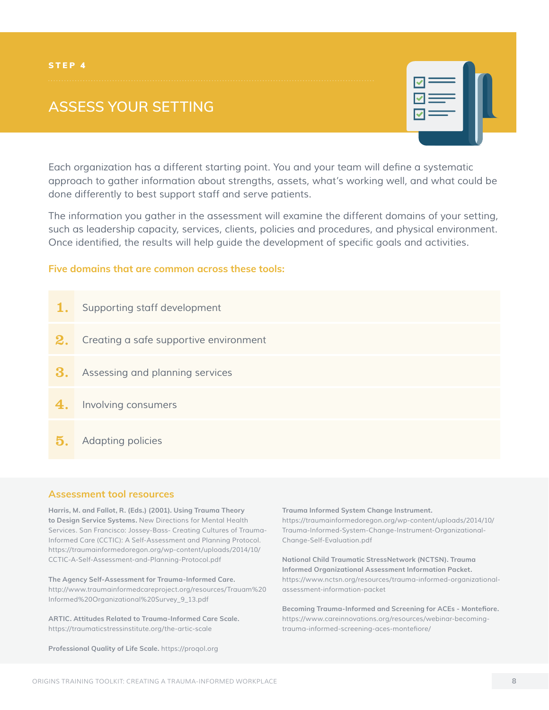## **ASSESS YOUR SETTING**



Each organization has a different starting point. You and your team will define a systematic *approach to gather information about strengths, assets, what's working well, and what could be done differently to best support staff and serve patients.* 

*The information you gather in the assessment will examine the different domains of your setting, such as leadership capacity, services, clients, policies and procedures, and physical environment.*  Once identified, the results will help guide the development of specific goals and activities.

#### **Five domains that are common across these tools:**

| 1. | Supporting staff development           |
|----|----------------------------------------|
| 2. | Creating a safe supportive environment |
| З. | Assessing and planning services        |
| 4. | Involving consumers                    |
| 5. | <b>Adapting policies</b>               |

#### **Assessment tool resources**

**Harris, M. and Fallot, R. (Eds.) (2001). Using Trauma Theory to Design Service Systems.** New Directions for Mental Health *Services. San Francisco: Jossey-Bass- Creating Cultures of Trauma-Informed Care (CCTIC): A Self-Assessment and Planning Protocol[.](https://traumainformedoregon.org/wp-content/uploads/2014/10/CCTIC-A-Self-Assessment-and-Planning-Protocol.pdf) [https://traumainformedoregon.org/wp-content/uploads/2014/10/](https://traumainformedoregon.org/wp-content/uploads/2014/10/CCTIC-A-Self-Assessment-and-Planning-Protocol.pdf) [CCTIC-A-Self-Assessment-and-Planning-Protocol.pdf](https://traumainformedoregon.org/wp-content/uploads/2014/10/CCTIC-A-Self-Assessment-and-Planning-Protocol.pdf)*

**The Agency Self-Assessment for Trauma-Informed Care.**  *[http://www.traumainformedcareproject.org/resources/Trauam%20](http://www.traumainformedcareproject.org/resources/Trauam%20Informed%20Organizational%20Survey_9_13.pdf
) [Informed%20Organizational%20Survey\\_9\\_13.pdf](http://www.traumainformedcareproject.org/resources/Trauam%20Informed%20Organizational%20Survey_9_13.pdf
)*

**ARTIC. Attitudes Related to Trauma-Informed Care Scale.**  *[https://traumaticstressinstitute.org/the-artic-scale](https://traumaticstressinstitute.org/the-artic-scale/)*

**Professional Quality of Life Scale.** *[https://proqol.org](https://proqol.org/)*

**Trauma Informed System Change Instrument.** 

*[https://traumainformedoregon.org/wp-content/uploads/2014/10/](https://traumainformedoregon.org/wp-content/uploads/2014/10/Trauma-Informed-System-Change-Instrument-Organizational-Change-Self-Evaluation.pdf) [Trauma-Informed-System-Change-Instrument-Organizational-](https://traumainformedoregon.org/wp-content/uploads/2014/10/Trauma-Informed-System-Change-Instrument-Organizational-Change-Self-Evaluation.pdf)[Change-Self-Evaluation.pdf](https://traumainformedoregon.org/wp-content/uploads/2014/10/Trauma-Informed-System-Change-Instrument-Organizational-Change-Self-Evaluation.pdf)*

**National Child Traumatic StressNetwork (NCTSN). Trauma Informed Organizational Assessment Information Packet.** *[https://www.nctsn.org/resources/trauma-informed-organizational](https://www.nctsn.org/resources/trauma-informed-organizational-assessment-information-packet)[assessment-information-packet](https://www.nctsn.org/resources/trauma-informed-organizational-assessment-information-packet)*

**Becoming Trauma-Informed and Screening for ACEs - Montefiore.**  *[https://www.careinnovations.org/resources/webinar-becoming](https://www.careinnovations.org/resources/webinar-becoming-trauma-informed-screening-aces-montefiore/)*[trauma-informed-screening-aces-montefiore/](https://www.careinnovations.org/resources/webinar-becoming-trauma-informed-screening-aces-montefiore/)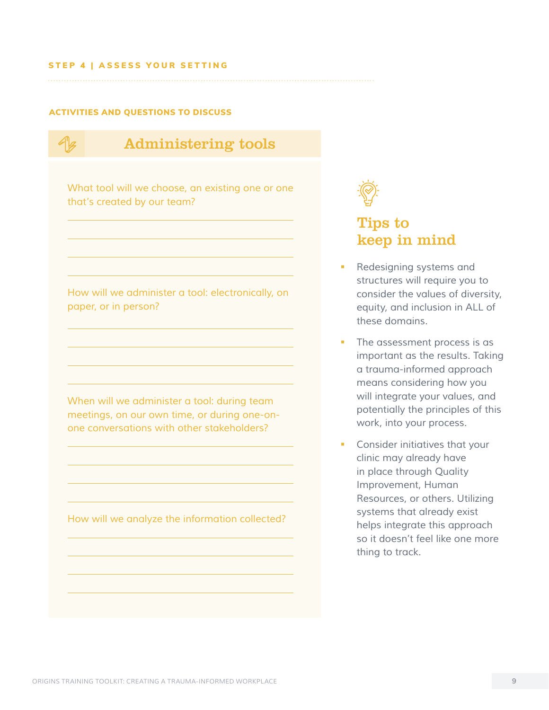#### STEP 4 | ASSESS YOUR SETTING

#### ACTIVITIES AND QUESTIONS TO DISCUSS

Administering tools *What tool will we choose, an existing one or one that's created by our team? How will we administer a tool: electronically, on paper, or in person? When will we administer a tool: during team meetings, on our own time, or during one-on-*

*How will we analyze the information collected?*

*one conversations with other stakeholders?*



### Tips to keep in mind

- *Redesigning systems and structures will require you to consider the values of diversity, equity, and inclusion in ALL of these domains.*
- *The assessment process is as important as the results. Taking a trauma-informed approach means considering how you will integrate your values, and potentially the principles of this work, into your process.*
- *Consider initiatives that your clinic may already have in place through Quality Improvement, Human Resources, or others. Utilizing systems that already exist helps integrate this approach so it doesn't feel like one more thing to track.*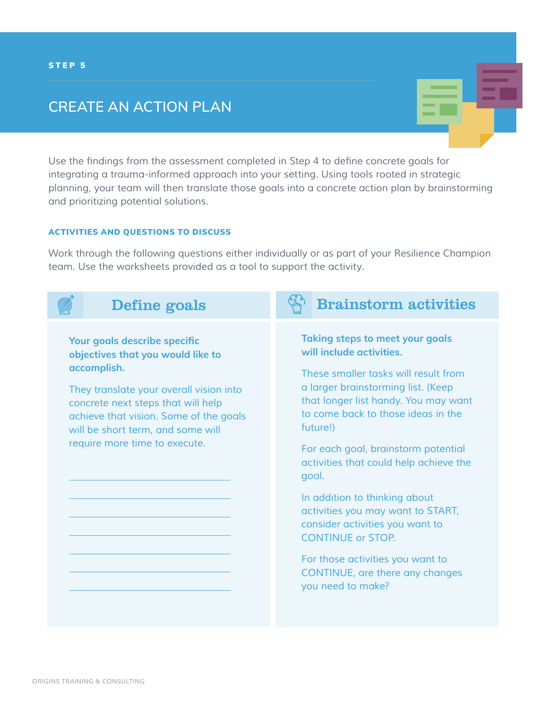### **CREATE AN ACTION PLAN**

Use the findings from the assessment completed in Step 4 to define concrete goals for *integrating a trauma-informed approach into your setting. Using tools rooted in strategic planning, your team will then translate those goals into a concrete action plan by brainstorming and prioritizing potential solutions.*

#### ACTIVITIES AND QUESTIONS TO DISCUSS

*Work through the following questions either individually or as part of your Resilience Champion team. Use the worksheets provided as a tool to support the activity.*

| Define goals                                                                                                                                                                                                                                                                      | <b>Brainstorm activities</b>                                                                                                                                                                                                                                                                                                                                                                                                                                                                                                                                          |
|-----------------------------------------------------------------------------------------------------------------------------------------------------------------------------------------------------------------------------------------------------------------------------------|-----------------------------------------------------------------------------------------------------------------------------------------------------------------------------------------------------------------------------------------------------------------------------------------------------------------------------------------------------------------------------------------------------------------------------------------------------------------------------------------------------------------------------------------------------------------------|
| Your goals describe specific<br>objectives that you would like to<br>accomplish.<br>They translate your overall vision into<br>concrete next steps that will help<br>achieve that vision. Some of the goals<br>will be short term, and some will<br>require more time to execute. | <b>Taking steps to meet your goals</b><br>will include activities.<br>These smaller tasks will result from<br>a larger brainstorming list. (Keep<br>that longer list handy. You may want<br>to come back to those ideas in the<br>future!)<br>For each goal, brainstorm potential<br>activities that could help achieve the<br>goal.<br>In addition to thinking about<br>activities you may want to START,<br>consider activities you want to<br><b>CONTINUE or STOP.</b><br>For those activities you want to<br>CONTINUE, are there any changes<br>you need to make? |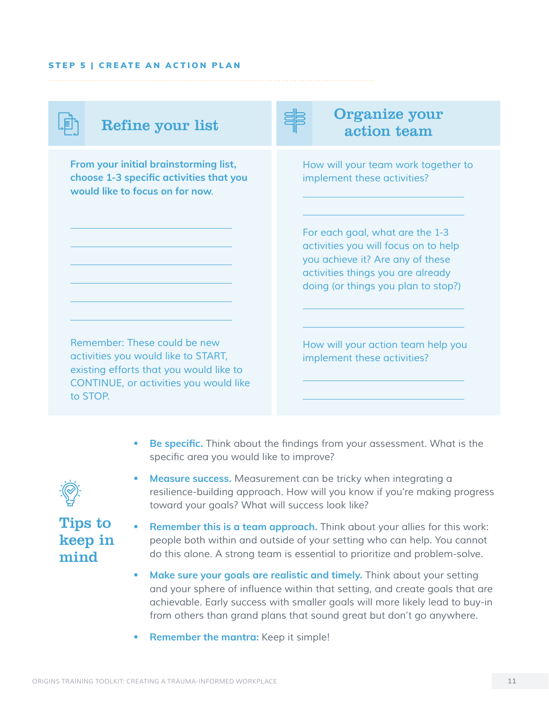#### STEP 5 | CREATE AN ACTION PLAN

**From your initial brainstorming list, choose 1-3 specific activities that you would like to focus on for now***.* 

Refine your list Solution to the Section of the Refine your action team

> *How will your team work together to implement these activities?*

*For each goal, what are the 1-3 activities you will focus on to help you achieve it? Are any of these activities things you are already doing (or things you plan to stop?)*

*Remember: These could be new activities you would like to START, existing efforts that you would like to CONTINUE, or activities you would like to STOP.*

*How will your action team help you implement these activities?*

**Be specific.** Think about the findings from your assessment. What is the specific area you would like to improve?



 **Measure success.** Measurement can be tricky when integrating a *resilience-building approach. How will you know if you're making progress toward your goals? What will success look like?*



- **Remember this is a team approach.** *Think about your allies for this work: people both within and outside of your setting who can help. You cannot do this alone. A strong team is essential to prioritize and problem-solve.*
- **Make sure your goals are realistic and timely.** *Think about your setting*  and your sphere of influence within that setting, and create goals that are *achievable. Early success with smaller goals will more likely lead to buy-in from others than grand plans that sound great but don't go anywhere.*
- **Remember the mantra:** *Keep it simple!*